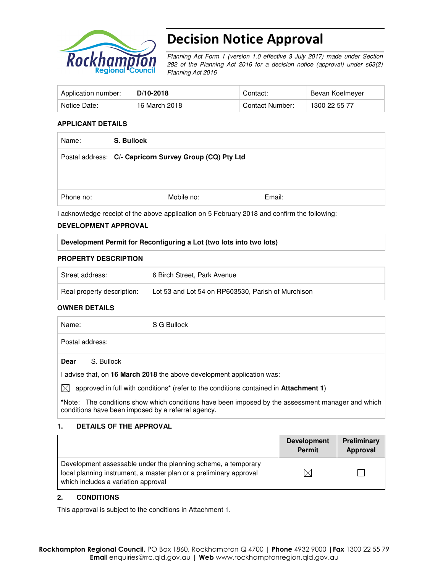

# Decision Notice Approval

Planning Act Form 1 (version 1.0 effective 3 July 2017) made under Section 282 of the Planning Act 2016 for a decision notice (approval) under s63(2) Planning Act 2016

| Application number: | D/10-2018     | Contact:        | Bevan Koelmeyer |
|---------------------|---------------|-----------------|-----------------|
| Notice Date:        | 16 March 2018 | Contact Number: | 1300 22 55 77   |

### **APPLICANT DETAILS**

| Name:     | S. Bullock                                              |        |  |  |
|-----------|---------------------------------------------------------|--------|--|--|
|           | Postal address: C/- Capricorn Survey Group (CQ) Pty Ltd |        |  |  |
|           |                                                         |        |  |  |
| Phone no: | Mobile no:                                              | Email: |  |  |

I acknowledge receipt of the above application on 5 February 2018 and confirm the following:

### **DEVELOPMENT APPROVAL**

### **Development Permit for Reconfiguring a Lot (two lots into two lots)**

#### **PROPERTY DESCRIPTION**

| Street address:            | 6 Birch Street, Park Avenue                        |
|----------------------------|----------------------------------------------------|
| Real property description: | Lot 53 and Lot 54 on RP603530, Parish of Murchison |

### **OWNER DETAILS**

| Name:       | S G Bullock                                                                           |  |
|-------------|---------------------------------------------------------------------------------------|--|
|             | Postal address:                                                                       |  |
| <b>Dear</b> | S. Bullock                                                                            |  |
|             | advise that, on 16 March 2018 the above development application was:                  |  |
|             | approved in full with conditions* (refer to the conditions contained in Attachment 1) |  |

**\***Note:The conditions show which conditions have been imposed by the assessment manager and which conditions have been imposed by a referral agency.

### **1. DETAILS OF THE APPROVAL**

|                                                                                                                                                                            | <b>Development</b><br><b>Permit</b> | Preliminary<br>Approval |
|----------------------------------------------------------------------------------------------------------------------------------------------------------------------------|-------------------------------------|-------------------------|
| Development assessable under the planning scheme, a temporary<br>local planning instrument, a master plan or a preliminary approval<br>which includes a variation approval |                                     |                         |

#### **2. CONDITIONS**

This approval is subject to the conditions in Attachment 1.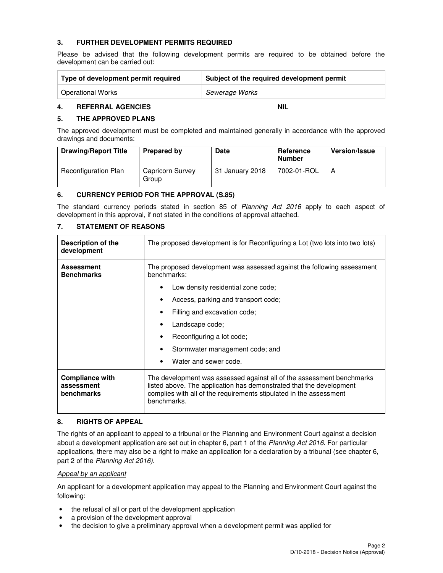## **3. FURTHER DEVELOPMENT PERMITS REQUIRED**

Please be advised that the following development permits are required to be obtained before the development can be carried out:

| Type of development permit required | Subject of the required development permit |  |
|-------------------------------------|--------------------------------------------|--|
| <b>Operational Works</b>            | Sewerage Works                             |  |

## **4. REFERRAL AGENCIES NIL**

### **5. THE APPROVED PLANS**

The approved development must be completed and maintained generally in accordance with the approved drawings and documents:

| <b>Drawing/Report Title</b> | Prepared by               | <b>Date</b>     | Reference<br><b>Number</b> | <b>Version/Issue</b> |
|-----------------------------|---------------------------|-----------------|----------------------------|----------------------|
| <b>Reconfiguration Plan</b> | Capricorn Survey<br>Group | 31 January 2018 | 7002-01-ROL                | A                    |

#### **6. CURRENCY PERIOD FOR THE APPROVAL (S.85)**

The standard currency periods stated in section 85 of Planning Act 2016 apply to each aspect of development in this approval, if not stated in the conditions of approval attached.

## **7. STATEMENT OF REASONS**

| Description of the<br>development                  | The proposed development is for Reconfiguring a Lot (two lots into two lots)                                                                                                                                                      |  |  |
|----------------------------------------------------|-----------------------------------------------------------------------------------------------------------------------------------------------------------------------------------------------------------------------------------|--|--|
| <b>Assessment</b><br><b>Benchmarks</b>             | The proposed development was assessed against the following assessment<br>benchmarks:                                                                                                                                             |  |  |
|                                                    | Low density residential zone code;<br>٠                                                                                                                                                                                           |  |  |
|                                                    | Access, parking and transport code;                                                                                                                                                                                               |  |  |
|                                                    | Filling and excavation code;<br>٠                                                                                                                                                                                                 |  |  |
|                                                    | Landscape code;                                                                                                                                                                                                                   |  |  |
|                                                    | Reconfiguring a lot code;                                                                                                                                                                                                         |  |  |
|                                                    | Stormwater management code; and                                                                                                                                                                                                   |  |  |
|                                                    | Water and sewer code.<br>٠                                                                                                                                                                                                        |  |  |
| <b>Compliance with</b><br>assessment<br>benchmarks | The development was assessed against all of the assessment benchmarks<br>listed above. The application has demonstrated that the development<br>complies with all of the requirements stipulated in the assessment<br>benchmarks. |  |  |

### **8. RIGHTS OF APPEAL**

The rights of an applicant to appeal to a tribunal or the Planning and Environment Court against a decision about a development application are set out in chapter 6, part 1 of the Planning Act 2016. For particular applications, there may also be a right to make an application for a declaration by a tribunal (see chapter 6, part 2 of the Planning Act 2016).

#### Appeal by an applicant

An applicant for a development application may appeal to the Planning and Environment Court against the following:

- the refusal of all or part of the development application
- a provision of the development approval
- the decision to give a preliminary approval when a development permit was applied for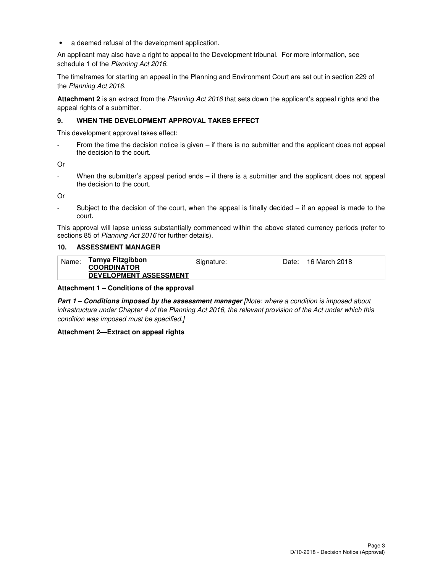• a deemed refusal of the development application.

An applicant may also have a right to appeal to the Development tribunal. For more information, see schedule 1 of the Planning Act 2016.

The timeframes for starting an appeal in the Planning and Environment Court are set out in section 229 of the Planning Act 2016.

**Attachment 2** is an extract from the Planning Act 2016 that sets down the applicant's appeal rights and the appeal rights of a submitter.

#### **9. WHEN THE DEVELOPMENT APPROVAL TAKES EFFECT**

This development approval takes effect:

From the time the decision notice is given – if there is no submitter and the applicant does not appeal the decision to the court.

Or

When the submitter's appeal period ends – if there is a submitter and the applicant does not appeal the decision to the court.

Or

Subject to the decision of the court, when the appeal is finally decided  $-$  if an appeal is made to the court.

This approval will lapse unless substantially commenced within the above stated currency periods (refer to sections 85 of Planning Act 2016 for further details).

#### **10. ASSESSMENT MANAGER**

| Name: | Tarnya Fitzgibbon<br><b>COORDINATOR</b> | Signature: | Date: 16 March 2018 |
|-------|-----------------------------------------|------------|---------------------|
|       | <b>DEVELOPMENT ASSESSMENT</b>           |            |                     |

#### **Attachment 1 – Conditions of the approval**

**Part 1 – Conditions imposed by the assessment manager** [Note: where a condition is imposed about infrastructure under Chapter 4 of the Planning Act 2016, the relevant provision of the Act under which this condition was imposed must be specified.]

#### **Attachment 2—Extract on appeal rights**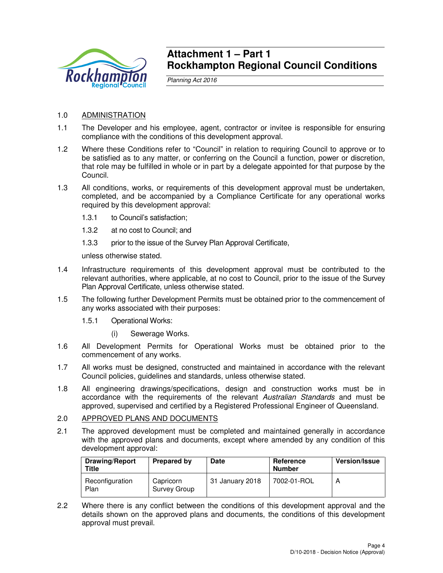

## **Attachment 1 – Part 1 Rockhampton Regional Council Conditions**

Planning Act 2016

## 1.0 ADMINISTRATION

- 1.1 The Developer and his employee, agent, contractor or invitee is responsible for ensuring compliance with the conditions of this development approval.
- 1.2 Where these Conditions refer to "Council" in relation to requiring Council to approve or to be satisfied as to any matter, or conferring on the Council a function, power or discretion, that role may be fulfilled in whole or in part by a delegate appointed for that purpose by the Council.
- 1.3 All conditions, works, or requirements of this development approval must be undertaken, completed, and be accompanied by a Compliance Certificate for any operational works required by this development approval:
	- 1.3.1 to Council's satisfaction;
	- 1.3.2 at no cost to Council; and
	- 1.3.3 prior to the issue of the Survey Plan Approval Certificate,

unless otherwise stated.

- 1.4 Infrastructure requirements of this development approval must be contributed to the relevant authorities, where applicable, at no cost to Council, prior to the issue of the Survey Plan Approval Certificate, unless otherwise stated.
- 1.5 The following further Development Permits must be obtained prior to the commencement of any works associated with their purposes:
	- 1.5.1 Operational Works:
		- (i) Sewerage Works.
- 1.6 All Development Permits for Operational Works must be obtained prior to the commencement of any works.
- 1.7 All works must be designed, constructed and maintained in accordance with the relevant Council policies, guidelines and standards, unless otherwise stated.
- 1.8 All engineering drawings/specifications, design and construction works must be in accordance with the requirements of the relevant Australian Standards and must be approved, supervised and certified by a Registered Professional Engineer of Queensland.

### 2.0 APPROVED PLANS AND DOCUMENTS

2.1 The approved development must be completed and maintained generally in accordance with the approved plans and documents, except where amended by any condition of this development approval:

| <b>Drawing/Report</b><br>Title | Prepared by               | <b>Date</b>     | Reference<br><b>Number</b> | <b>Version/Issue</b> |
|--------------------------------|---------------------------|-----------------|----------------------------|----------------------|
| Reconfiguration<br>Plan        | Capricorn<br>Survey Group | 31 January 2018 | 7002-01-ROL                |                      |

2.2 Where there is any conflict between the conditions of this development approval and the details shown on the approved plans and documents, the conditions of this development approval must prevail.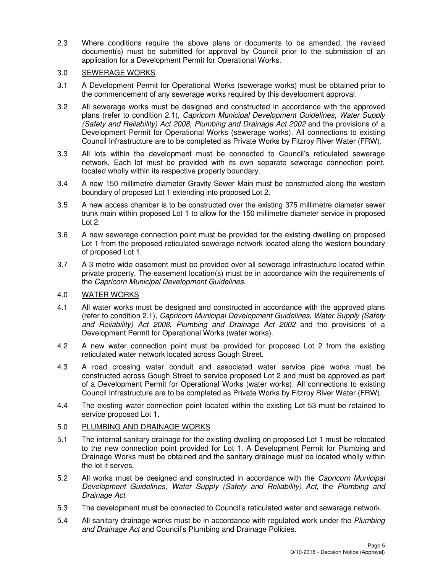2.3 Where conditions require the above plans or documents to be amended, the revised document(s) must be submitted for approval by Council prior to the submission of an application for a Development Permit for Operational Works.

## 3.0 SEWERAGE WORKS

- 3.1 A Development Permit for Operational Works (sewerage works) must be obtained prior to the commencement of any sewerage works required by this development approval.
- 3.2 All sewerage works must be designed and constructed in accordance with the approved plans (refer to condition 2.1), Capricorn Municipal Development Guidelines, Water Supply (Safety and Reliability) Act 2008, Plumbing and Drainage Act 2002 and the provisions of a Development Permit for Operational Works (sewerage works). All connections to existing Council Infrastructure are to be completed as Private Works by Fitzroy River Water (FRW).
- 3.3 All lots within the development must be connected to Council's reticulated sewerage network. Each lot must be provided with its own separate sewerage connection point, located wholly within its respective property boundary.
- 3.4 A new 150 millimetre diameter Gravity Sewer Main must be constructed along the western boundary of proposed Lot 1 extending into proposed Lot 2.
- 3.5 A new access chamber is to be constructed over the existing 375 millimetre diameter sewer trunk main within proposed Lot 1 to allow for the 150 millimetre diameter service in proposed Lot 2.
- 3.6 A new sewerage connection point must be provided for the existing dwelling on proposed Lot 1 from the proposed reticulated sewerage network located along the western boundary of proposed Lot 1.
- 3.7 A 3 metre wide easement must be provided over all sewerage infrastructure located within private property. The easement location(s) must be in accordance with the requirements of the Capricorn Municipal Development Guidelines.

## 4.0 WATER WORKS

- 4.1 All water works must be designed and constructed in accordance with the approved plans (refer to condition 2.1), Capricorn Municipal Development Guidelines, Water Supply (Safety and Reliability) Act 2008, Plumbing and Drainage Act 2002 and the provisions of a Development Permit for Operational Works (water works).
- 4.2 A new water connection point must be provided for proposed Lot 2 from the existing reticulated water network located across Gough Street.
- 4.3 A road crossing water conduit and associated water service pipe works must be constructed across Gough Street to service proposed Lot 2 and must be approved as part of a Development Permit for Operational Works (water works). All connections to existing Council Infrastructure are to be completed as Private Works by Fitzroy River Water (FRW).
- 4.4 The existing water connection point located within the existing Lot 53 must be retained to service proposed Lot 1.

## 5.0 PLUMBING AND DRAINAGE WORKS

- 5.1 The internal sanitary drainage for the existing dwelling on proposed Lot 1 must be relocated to the new connection point provided for Lot 1. A Development Permit for Plumbing and Drainage Works must be obtained and the sanitary drainage must be located wholly within the lot it serves.
- 5.2 All works must be designed and constructed in accordance with the *Capricorn Municipal* Development Guidelines, Water Supply (Safety and Reliability) Act, the Plumbing and Drainage Act.
- 5.3 The development must be connected to Council's reticulated water and sewerage network.
- 5.4 All sanitary drainage works must be in accordance with regulated work under the Plumbing and Drainage Act and Council's Plumbing and Drainage Policies.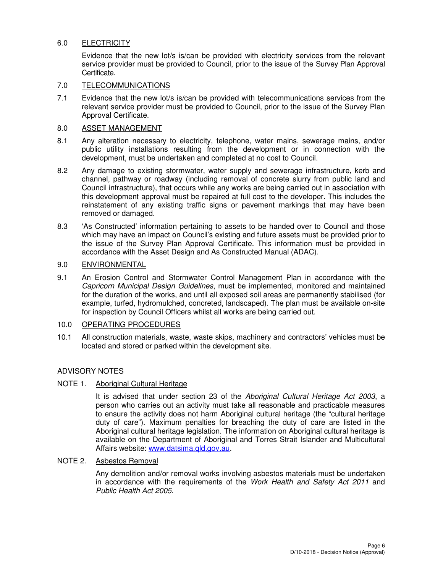## 6.0 ELECTRICITY

Evidence that the new lot/s is/can be provided with electricity services from the relevant service provider must be provided to Council, prior to the issue of the Survey Plan Approval Certificate.

### 7.0 TELECOMMUNICATIONS

7.1 Evidence that the new lot/s is/can be provided with telecommunications services from the relevant service provider must be provided to Council, prior to the issue of the Survey Plan Approval Certificate.

## 8.0 ASSET MANAGEMENT

- 8.1 Any alteration necessary to electricity, telephone, water mains, sewerage mains, and/or public utility installations resulting from the development or in connection with the development, must be undertaken and completed at no cost to Council.
- 8.2 Any damage to existing stormwater, water supply and sewerage infrastructure, kerb and channel, pathway or roadway (including removal of concrete slurry from public land and Council infrastructure), that occurs while any works are being carried out in association with this development approval must be repaired at full cost to the developer. This includes the reinstatement of any existing traffic signs or pavement markings that may have been removed or damaged.
- 8.3 'As Constructed' information pertaining to assets to be handed over to Council and those which may have an impact on Council's existing and future assets must be provided prior to the issue of the Survey Plan Approval Certificate. This information must be provided in accordance with the Asset Design and As Constructed Manual (ADAC).

## 9.0 ENVIRONMENTAL

9.1 An Erosion Control and Stormwater Control Management Plan in accordance with the Capricorn Municipal Design Guidelines, must be implemented, monitored and maintained for the duration of the works, and until all exposed soil areas are permanently stabilised (for example, turfed, hydromulched, concreted, landscaped). The plan must be available on-site for inspection by Council Officers whilst all works are being carried out.

### 10.0 OPERATING PROCEDURES

10.1 All construction materials, waste, waste skips, machinery and contractors' vehicles must be located and stored or parked within the development site.

## ADVISORY NOTES

### NOTE 1. Aboriginal Cultural Heritage

It is advised that under section 23 of the Aboriginal Cultural Heritage Act 2003, a person who carries out an activity must take all reasonable and practicable measures to ensure the activity does not harm Aboriginal cultural heritage (the "cultural heritage duty of care"). Maximum penalties for breaching the duty of care are listed in the Aboriginal cultural heritage legislation. The information on Aboriginal cultural heritage is available on the Department of Aboriginal and Torres Strait Islander and Multicultural Affairs website: www.datsima.qld.gov.au.

### NOTE 2. Asbestos Removal

Any demolition and/or removal works involving asbestos materials must be undertaken in accordance with the requirements of the Work Health and Safety Act 2011 and Public Health Act 2005.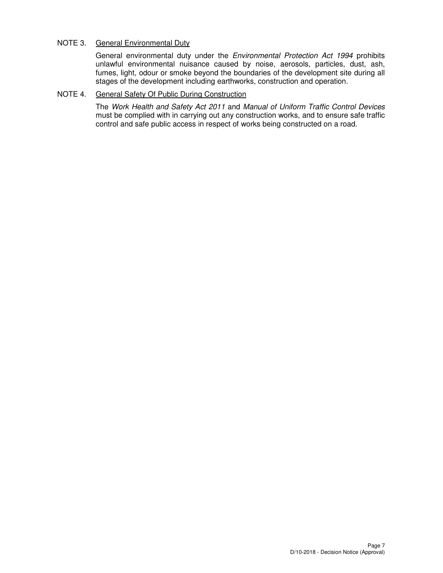## NOTE 3. General Environmental Duty

General environmental duty under the Environmental Protection Act 1994 prohibits unlawful environmental nuisance caused by noise, aerosols, particles, dust, ash, fumes, light, odour or smoke beyond the boundaries of the development site during all stages of the development including earthworks, construction and operation.

## NOTE 4. General Safety Of Public During Construction

The Work Health and Safety Act 2011 and Manual of Uniform Traffic Control Devices must be complied with in carrying out any construction works, and to ensure safe traffic control and safe public access in respect of works being constructed on a road.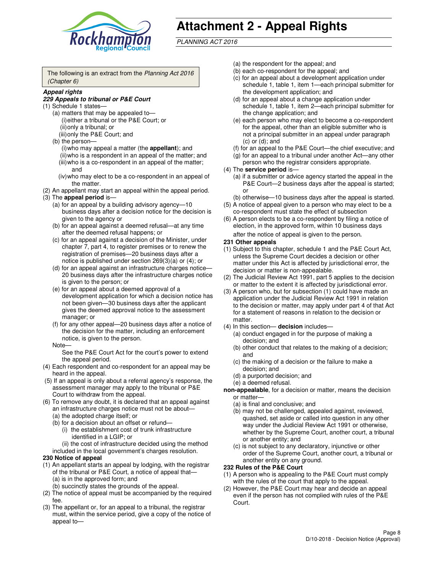

# **Attachment 2 - Appeal Rights**

PLANNING ACT 2016

The following is an extract from the Planning Act 2016 (Chapter 6)

#### **Appeal rights**

#### **229 Appeals to tribunal or P&E Court**

- (1) Schedule 1 states—
	- (a) matters that may be appealed to— (i) either a tribunal or the P&E Court; or (ii) only a tribunal; or (iii) only the P&E Court; and
	- (b) the person—
		- (i) who may appeal a matter (the **appellant**); and
		- (ii) who is a respondent in an appeal of the matter; and (iii) who is a co-respondent in an appeal of the matter; and
		- (iv) who may elect to be a co-respondent in an appeal of the matter.
- (2) An appellant may start an appeal within the appeal period.
- (3) The **appeal period** is—
	- (a) for an appeal by a building advisory agency—10 business days after a decision notice for the decision is given to the agency or
	- (b) for an appeal against a deemed refusal—at any time after the deemed refusal happens; or
	- (c) for an appeal against a decision of the Minister, under chapter 7, part 4, to register premises or to renew the registration of premises—20 business days after a notice is published under section 269(3)(a) or (4); or
	- (d) for an appeal against an infrastructure charges notice— 20 business days after the infrastructure charges notice is given to the person; or
	- (e) for an appeal about a deemed approval of a development application for which a decision notice has not been given—30 business days after the applicant gives the deemed approval notice to the assessment manager; or
	- (f) for any other appeal—20 business days after a notice of the decision for the matter, including an enforcement notice, is given to the person.
	- Note—

See the P&E Court Act for the court's power to extend the appeal period.

- (4) Each respondent and co-respondent for an appeal may be heard in the appeal.
- (5) If an appeal is only about a referral agency's response, the assessment manager may apply to the tribunal or P&E Court to withdraw from the appeal.
- (6) To remove any doubt, it is declared that an appeal against an infrastructure charges notice must not be about—
	- (a) the adopted charge itself; or
	- (b) for a decision about an offset or refund—
		- (i) the establishment cost of trunk infrastructure identified in a LGIP; or
		- (ii) the cost of infrastructure decided using the method
- included in the local government's charges resolution. **230 Notice of appeal**
- (1) An appellant starts an appeal by lodging, with the registrar of the tribunal or P&E Court, a notice of appeal that—
	- (a) is in the approved form; and
	- (b) succinctly states the grounds of the appeal.
- (2) The notice of appeal must be accompanied by the required fee.
- (3) The appellant or, for an appeal to a tribunal, the registrar must, within the service period, give a copy of the notice of appeal to—
- (a) the respondent for the appeal; and
- (b) each co-respondent for the appeal; and
- (c) for an appeal about a development application under schedule 1, table 1, item 1—each principal submitter for the development application; and
- (d) for an appeal about a change application under schedule 1, table 1, item 2—each principal submitter for the change application; and
- (e) each person who may elect to become a co-respondent for the appeal, other than an eligible submitter who is not a principal submitter in an appeal under paragraph  $(c)$  or  $(d)$ ; and
- (f) for an appeal to the P&E Court—the chief executive; and
- (g) for an appeal to a tribunal under another Act—any other person who the registrar considers appropriate.
- (4) The **service period** is—
	- (a) if a submitter or advice agency started the appeal in the P&E Court—2 business days after the appeal is started; or
	- (b) otherwise—10 business days after the appeal is started.
- (5) A notice of appeal given to a person who may elect to be a co-respondent must state the effect of subsection
- (6) A person elects to be a co-respondent by filing a notice of election, in the approved form, within 10 business days after the notice of appeal is given to the person*.*
- **231 Other appeals**
- (1) Subject to this chapter, schedule 1 and the P&E Court Act, unless the Supreme Court decides a decision or other matter under this Act is affected by jurisdictional error, the decision or matter is non-appealable.
- (2) The Judicial Review Act 1991, part 5 applies to the decision or matter to the extent it is affected by jurisdictional error.
- (3) A person who, but for subsection (1) could have made an application under the Judicial Review Act 1991 in relation to the decision or matter, may apply under part 4 of that Act for a statement of reasons in relation to the decision or matter.
- (4) In this section— **decision** includes—
	- (a) conduct engaged in for the purpose of making a decision; and
	- (b) other conduct that relates to the making of a decision; and
	- (c) the making of a decision or the failure to make a decision; and
	- (d) a purported decision; and
	- (e) a deemed refusal.

**non-appealable**, for a decision or matter, means the decision or matter—

- (a) is final and conclusive; and
- (b) may not be challenged, appealed against, reviewed, quashed, set aside or called into question in any other way under the Judicial Review Act 1991 or otherwise, whether by the Supreme Court, another court, a tribunal or another entity; and
- (c) is not subject to any declaratory, injunctive or other order of the Supreme Court, another court, a tribunal or another entity on any ground.

#### **232 Rules of the P&E Court**

- (1) A person who is appealing to the P&E Court must comply with the rules of the court that apply to the appeal.
- (2) However, the P&E Court may hear and decide an appeal even if the person has not complied with rules of the P&E Court.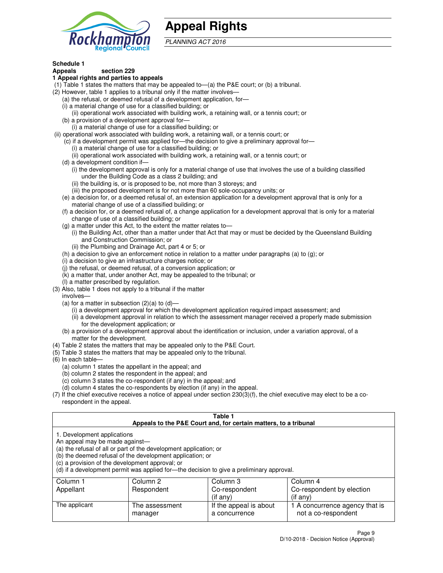

## **Appeal Rights**

PLANNING ACT 2016

## **Schedule 1**

## **Appeals section 229**

#### **1 Appeal rights and parties to appeals**

- (1) Table 1 states the matters that may be appealed to—(a) the P&E court; or (b) a tribunal.
- (2) However, table 1 applies to a tribunal only if the matter involves—
	- (a) the refusal, or deemed refusal of a development application, for—
	- (i) a material change of use for a classified building; or
	- (ii) operational work associated with building work, a retaining wall, or a tennis court; or
	- (b) a provision of a development approval for—
	- (i) a material change of use for a classified building; or
- (ii) operational work associated with building work, a retaining wall, or a tennis court; or
	- (c) if a development permit was applied for—the decision to give a preliminary approval for—
		- (i) a material change of use for a classified building; or
		- (ii) operational work associated with building work, a retaining wall, or a tennis court; or
	- (d) a development condition if—
		- (i) the development approval is only for a material change of use that involves the use of a building classified under the Building Code as a class 2 building; and
		- (ii) the building is, or is proposed to be, not more than 3 storeys; and
		- (iii) the proposed development is for not more than 60 sole-occupancy units; or
	- (e) a decision for, or a deemed refusal of, an extension application for a development approval that is only for a material change of use of a classified building; or
	- (f) a decision for, or a deemed refusal of, a change application for a development approval that is only for a material change of use of a classified building; or
	- (g) a matter under this Act, to the extent the matter relates to—
		- (i) the Building Act, other than a matter under that Act that may or must be decided by the Queensland Building and Construction Commission; or
		- (ii) the Plumbing and Drainage Act, part 4 or 5; or
	- (h) a decision to give an enforcement notice in relation to a matter under paragraphs (a) to (g); or
	- (i) a decision to give an infrastructure charges notice; or
	- (j) the refusal, or deemed refusal, of a conversion application; or
	- (k) a matter that, under another Act, may be appealed to the tribunal; or
	- (l) a matter prescribed by regulation.
- (3) Also, table 1 does not apply to a tribunal if the matter
	- involves—
	- (a) for a matter in subsection  $(2)(a)$  to  $(d)$ 
		- (i) a development approval for which the development application required impact assessment; and
		- (ii) a development approval in relation to which the assessment manager received a properly made submission for the development application; or
	- (b) a provision of a development approval about the identification or inclusion, under a variation approval, of a matter for the development.
- (4) Table 2 states the matters that may be appealed only to the P&E Court.
- (5) Table 3 states the matters that may be appealed only to the tribunal.
- (6) In each table—
	- (a) column 1 states the appellant in the appeal; and
	- (b) column 2 states the respondent in the appeal; and
	- (c) column 3 states the co-respondent (if any) in the appeal; and
	- (d) column 4 states the co-respondents by election (if any) in the appeal.
- $(7)$  If the chief executive receives a notice of appeal under section  $230(3)(f)$ , the chief executive may elect to be a corespondent in the appeal.

| Table 1<br>Appeals to the P&E Court and, for certain matters, to a tribunal                                      |                                                                                                                                                                                                                            |                                         |                                                       |  |
|------------------------------------------------------------------------------------------------------------------|----------------------------------------------------------------------------------------------------------------------------------------------------------------------------------------------------------------------------|-----------------------------------------|-------------------------------------------------------|--|
| 1. Development applications<br>An appeal may be made against-<br>(c) a provision of the development approval; or | (a) the refusal of all or part of the development application; or<br>(b) the deemed refusal of the development application; or<br>(d) if a development permit was applied for—the decision to give a preliminary approval. |                                         |                                                       |  |
| Column 1                                                                                                         | Column 2                                                                                                                                                                                                                   | Column 3                                | Column 4                                              |  |
| Appellant                                                                                                        | Respondent                                                                                                                                                                                                                 | Co-respondent                           | Co-respondent by election                             |  |
| (if any)<br>$($ if any $)$                                                                                       |                                                                                                                                                                                                                            |                                         |                                                       |  |
| The applicant                                                                                                    | The assessment<br>manager                                                                                                                                                                                                  | If the appeal is about<br>a concurrence | 1 A concurrence agency that is<br>not a co-respondent |  |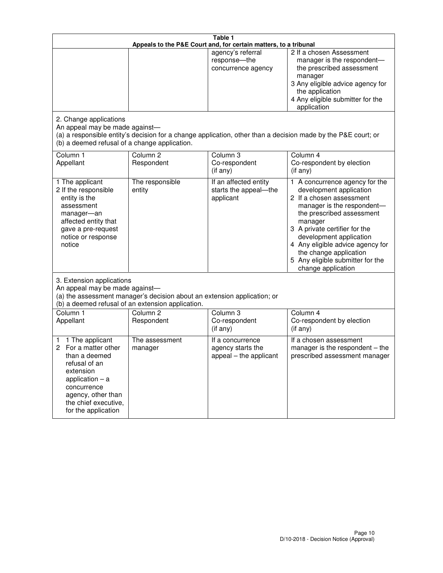| Table 1<br>Appeals to the P&E Court and, for certain matters, to a tribunal                                                                                                                             |                                                                                                                               |                                                                 |                                                                                                                                                                                                                                                                                                                                                     |  |
|---------------------------------------------------------------------------------------------------------------------------------------------------------------------------------------------------------|-------------------------------------------------------------------------------------------------------------------------------|-----------------------------------------------------------------|-----------------------------------------------------------------------------------------------------------------------------------------------------------------------------------------------------------------------------------------------------------------------------------------------------------------------------------------------------|--|
|                                                                                                                                                                                                         |                                                                                                                               | agency's referral<br>response-the<br>concurrence agency         | 2 If a chosen Assessment<br>manager is the respondent-<br>the prescribed assessment<br>manager<br>3 Any eligible advice agency for<br>the application<br>4 Any eligible submitter for the<br>application                                                                                                                                            |  |
| 2. Change applications<br>An appeal may be made against-<br>(b) a deemed refusal of a change application.                                                                                               |                                                                                                                               |                                                                 | (a) a responsible entity's decision for a change application, other than a decision made by the P&E court; or                                                                                                                                                                                                                                       |  |
| Column <sub>1</sub><br>Appellant                                                                                                                                                                        | Column <sub>2</sub><br>Respondent                                                                                             | Column <sub>3</sub><br>Co-respondent<br>(if any)                | Column 4<br>Co-respondent by election<br>(if any)                                                                                                                                                                                                                                                                                                   |  |
| 1 The applicant<br>2 If the responsible<br>entity is the<br>assessment<br>manager-an<br>affected entity that<br>gave a pre-request<br>notice or response<br>notice                                      | The responsible<br>entity                                                                                                     | If an affected entity<br>starts the appeal-the<br>applicant     | A concurrence agency for the<br>1.<br>development application<br>2 If a chosen assessment<br>manager is the respondent-<br>the prescribed assessment<br>manager<br>3 A private certifier for the<br>development application<br>4 Any eligible advice agency for<br>the change application<br>5 Any eligible submitter for the<br>change application |  |
| 3. Extension applications<br>An appeal may be made against-                                                                                                                                             | (a) the assessment manager's decision about an extension application; or<br>(b) a deemed refusal of an extension application. |                                                                 |                                                                                                                                                                                                                                                                                                                                                     |  |
| Column 1<br>Appellant                                                                                                                                                                                   | Column <sub>2</sub><br>Respondent                                                                                             | Column <sub>3</sub><br>Co-respondent<br>(if any)                | Column 4<br>Co-respondent by election<br>(if any)                                                                                                                                                                                                                                                                                                   |  |
| 1 The applicant<br>1<br>For a matter other<br>2<br>than a deemed<br>refusal of an<br>extension<br>application $-$ a<br>concurrence<br>agency, other than<br>the chief executive,<br>for the application | The assessment<br>manager                                                                                                     | If a concurrence<br>agency starts the<br>appeal - the applicant | If a chosen assessment<br>manager is the respondent - the<br>prescribed assessment manager                                                                                                                                                                                                                                                          |  |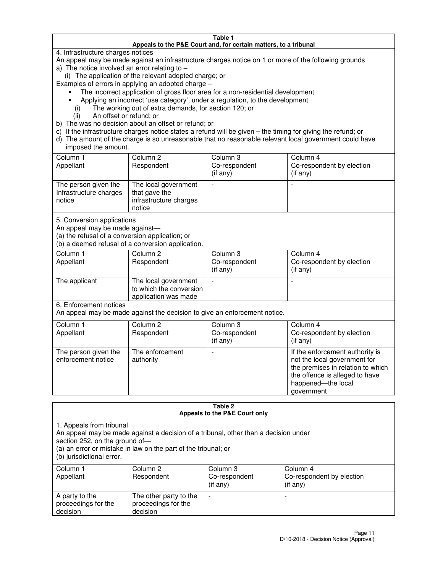#### **Table 1 Appeals to the P&E Court and, for certain matters, to a tribunal**

4. Infrastructure charges notices

An appeal may be made against an infrastructure charges notice on 1 or more of the following grounds

- a) The notice involved an error relating to
	- (i) The application of the relevant adopted charge; or
- Examples of errors in applying an adopted charge
	- The incorrect application of gross floor area for a non-residential development
	- Applying an incorrect 'use category', under a regulation, to the development
		- (i) The working out of extra demands, for section 120; or
		- (ii) An offset or refund; or
- b) The was no decision about an offset or refund; or
- c) If the infrastructure charges notice states a refund will be given the timing for giving the refund; or
- d) The amount of the charge is so unreasonable that no reasonable relevant local government could have imposed the amount.

| Column 1<br>Appellant                                    | Column 2<br>Respondent                                                    | Column 3<br>Co-respondent<br>$($ if any $)$ | Column 4<br>Co-respondent by election<br>$($ if any $)$ |
|----------------------------------------------------------|---------------------------------------------------------------------------|---------------------------------------------|---------------------------------------------------------|
| The person given the<br>Infrastructure charges<br>notice | The local government<br>that gave the<br>infrastructure charges<br>notice |                                             |                                                         |

5. Conversion applications

An appeal may be made against—

(a) the refusal of a conversion application; or

(b) a deemed refusal of a conversion application.

| Column 1<br>Appellant | Column 2<br>Respondent                                                  | Column 3<br>Co-respondent<br>$($ if any $)$ | Column 4<br>Co-respondent by election<br>$($ if any $)$ |
|-----------------------|-------------------------------------------------------------------------|---------------------------------------------|---------------------------------------------------------|
| The applicant         | The local government<br>to which the conversion<br>application was made |                                             |                                                         |

6. Enforcement notices

An appeal may be made against the decision to give an enforcement notice.

| Column 1<br>Appellant                      | Column 2<br>Respondent       | Column 3<br>Co-respondent<br>$($ if any $)$ | Column 4<br>Co-respondent by election<br>(if any)                                                                                                                          |
|--------------------------------------------|------------------------------|---------------------------------------------|----------------------------------------------------------------------------------------------------------------------------------------------------------------------------|
| The person given the<br>enforcement notice | The enforcement<br>authority |                                             | If the enforcement authority is<br>not the local government for<br>the premises in relation to which<br>the offence is alleged to have<br>happened-the local<br>government |

#### **Table 2 Appeals to the P&E Court only**

1. Appeals from tribunal

An appeal may be made against a decision of a tribunal, other than a decision under

section 252, on the ground of—

(a) an error or mistake in law on the part of the tribunal; or

(b) jurisdictional error.

| Column 1<br>Appellant                             | Column 2<br>Respondent                                    | Column 3<br>Co-respondent<br>(if any) | Column 4<br>Co-respondent by election<br>(if any) |
|---------------------------------------------------|-----------------------------------------------------------|---------------------------------------|---------------------------------------------------|
| A party to the<br>proceedings for the<br>decision | The other party to the<br>proceedings for the<br>decision | -                                     |                                                   |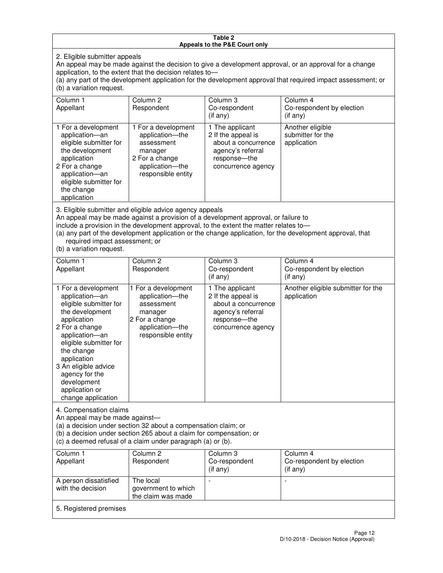#### **Table 2 Appeals to the P&E Court only**

2. Eligible submitter appeals

An appeal may be made against the decision to give a development approval, or an approval for a change application, to the extent that the decision relates to—

(a) any part of the development application for the development approval that required impact assessment; or (b) a variation request.

| Column 1<br>Appellant                                                                                                                                                                                                                                                                                                                                                                                              | Column 2<br>Respondent                                                                                                     | Column 3<br>Co-respondent<br>(if any)                                                                                     | Column 4<br>Co-respondent by election<br>(i f any)   |
|--------------------------------------------------------------------------------------------------------------------------------------------------------------------------------------------------------------------------------------------------------------------------------------------------------------------------------------------------------------------------------------------------------------------|----------------------------------------------------------------------------------------------------------------------------|---------------------------------------------------------------------------------------------------------------------------|------------------------------------------------------|
| 1 For a development<br>application-an<br>eligible submitter for<br>the development<br>application<br>2 For a change<br>application-an<br>eligible submitter for<br>the change<br>application                                                                                                                                                                                                                       | 1 For a development<br>application-the<br>assessment<br>manager<br>2 For a change<br>application-the<br>responsible entity | 1 The applicant<br>2 If the appeal is<br>about a concurrence<br>agency's referral<br>response---the<br>concurrence agency | Another eligible<br>submitter for the<br>application |
| 3. Eligible submitter and eligible advice agency appeals<br>An appeal may be made against a provision of a development approval, or failure to<br>include a provision in the development approval, to the extent the matter relates to-<br>(a) any part of the development application or the change application, for the development approval, that<br>required impact assessment; or<br>(b) a variation request. |                                                                                                                            |                                                                                                                           |                                                      |
| Column 1<br>Appellant                                                                                                                                                                                                                                                                                                                                                                                              | Column <sub>2</sub><br>Respondent                                                                                          | Column 3<br>Co-respondent<br>(if any)                                                                                     | Column 4<br>Co-respondent by election<br>(if any)    |
| 1 For a development<br>application-an<br>eligible submitter for<br>the development<br>application                                                                                                                                                                                                                                                                                                                  | 1 For a development<br>application-the<br>assessment<br>manager<br>2 For a change                                          | 1 The applicant<br>2 If the appeal is<br>about a concurrence<br>agency's referral<br>response---the                       | Another eligible submitter for the<br>application    |

concurrence agency

change application 4. Compensation claims

2 For a change application—an eligible submitter for

the change application 3 An eligible advice agency for the development application or

An appeal may be made against—

(a) a decision under section 32 about a compensation claim; or

(b) a decision under section 265 about a claim for compensation; or

application—the responsible entity

(c) a deemed refusal of a claim under paragraph (a) or (b).

| Column 1<br>Appellant                      | Column 2<br>Respondent                                 | Column 3<br>Co-respondent<br>(if any) | Column 4<br>Co-respondent by election<br>$($ if any $)$ |
|--------------------------------------------|--------------------------------------------------------|---------------------------------------|---------------------------------------------------------|
| A person dissatisfied<br>with the decision | The local<br>government to which<br>the claim was made | -                                     |                                                         |
| 5. Registered premises                     |                                                        |                                       |                                                         |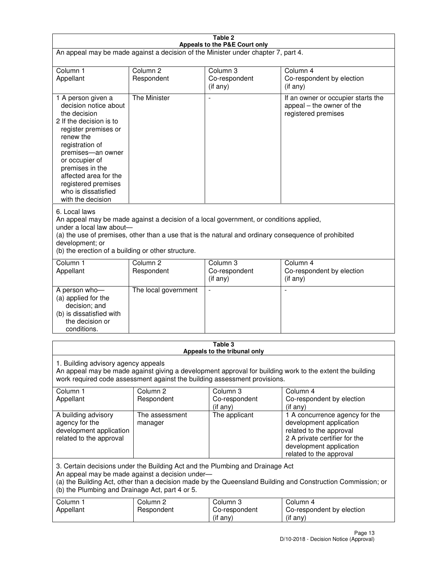| Table 2<br>Appeals to the P&E Court only                                                                                                                                                                                                                                                                                |                                   |                                       |                                                                                                                                                                             |  |
|-------------------------------------------------------------------------------------------------------------------------------------------------------------------------------------------------------------------------------------------------------------------------------------------------------------------------|-----------------------------------|---------------------------------------|-----------------------------------------------------------------------------------------------------------------------------------------------------------------------------|--|
| An appeal may be made against a decision of the Minister under chapter 7, part 4.                                                                                                                                                                                                                                       |                                   |                                       |                                                                                                                                                                             |  |
|                                                                                                                                                                                                                                                                                                                         |                                   |                                       |                                                                                                                                                                             |  |
| Column 1<br>Appellant                                                                                                                                                                                                                                                                                                   | Column <sub>2</sub><br>Respondent | Column <sub>3</sub><br>Co-respondent  | Column <sub>4</sub><br>Co-respondent by election                                                                                                                            |  |
|                                                                                                                                                                                                                                                                                                                         |                                   | (if any)                              | (if any)                                                                                                                                                                    |  |
| 1 A person given a<br>decision notice about<br>the decision<br>2 If the decision is to<br>register premises or<br>renew the<br>registration of<br>premises-an owner<br>or occupier of<br>premises in the<br>affected area for the<br>registered premises<br>who is dissatisfied<br>with the decision                    | <b>The Minister</b>               |                                       | If an owner or occupier starts the<br>appeal – the owner of the<br>registered premises                                                                                      |  |
| 6. Local laws<br>An appeal may be made against a decision of a local government, or conditions applied,<br>under a local law about-<br>(a) the use of premises, other than a use that is the natural and ordinary consequence of prohibited<br>development; or<br>(b) the erection of a building or other structure.    |                                   |                                       |                                                                                                                                                                             |  |
| Column 1                                                                                                                                                                                                                                                                                                                | Column <sub>2</sub>               | Column 3                              | Column $\overline{4}$                                                                                                                                                       |  |
| Appellant                                                                                                                                                                                                                                                                                                               | Respondent                        | Co-respondent<br>(if any)             | Co-respondent by election<br>(if any)                                                                                                                                       |  |
| A person who-<br>(a) applied for the<br>decision; and<br>(b) is dissatisfied with<br>the decision or<br>conditions.                                                                                                                                                                                                     | The local government              |                                       |                                                                                                                                                                             |  |
|                                                                                                                                                                                                                                                                                                                         |                                   | Table 3                               |                                                                                                                                                                             |  |
| Appeals to the tribunal only<br>1. Building advisory agency appeals<br>An appeal may be made against giving a development approval for building work to the extent the building<br>work required code assessment against the building assessment provisions.<br>Column 1<br>Column <sub>2</sub><br>Column 3<br>Column 4 |                                   |                                       |                                                                                                                                                                             |  |
| Appellant                                                                                                                                                                                                                                                                                                               | Respondent                        | Co-respondent<br>(if any)             | Co-respondent by election<br>(if any)                                                                                                                                       |  |
| A building advisory<br>agency for the<br>development application<br>related to the approval                                                                                                                                                                                                                             | The assessment<br>manager         | The applicant                         | 1 A concurrence agency for the<br>development application<br>related to the approval<br>2 A private certifier for the<br>development application<br>related to the approval |  |
| 3. Certain decisions under the Building Act and the Plumbing and Drainage Act<br>An appeal may be made against a decision under-<br>(a) the Building Act, other than a decision made by the Queensland Building and Construction Commission; or<br>(b) the Plumbing and Drainage Act, part 4 or 5.                      |                                   |                                       |                                                                                                                                                                             |  |
| Column 1<br>Appellant                                                                                                                                                                                                                                                                                                   | Column <sub>2</sub><br>Respondent | Column 3<br>Co-respondent<br>(if any) | Column 4<br>Co-respondent by election<br>(if any)                                                                                                                           |  |